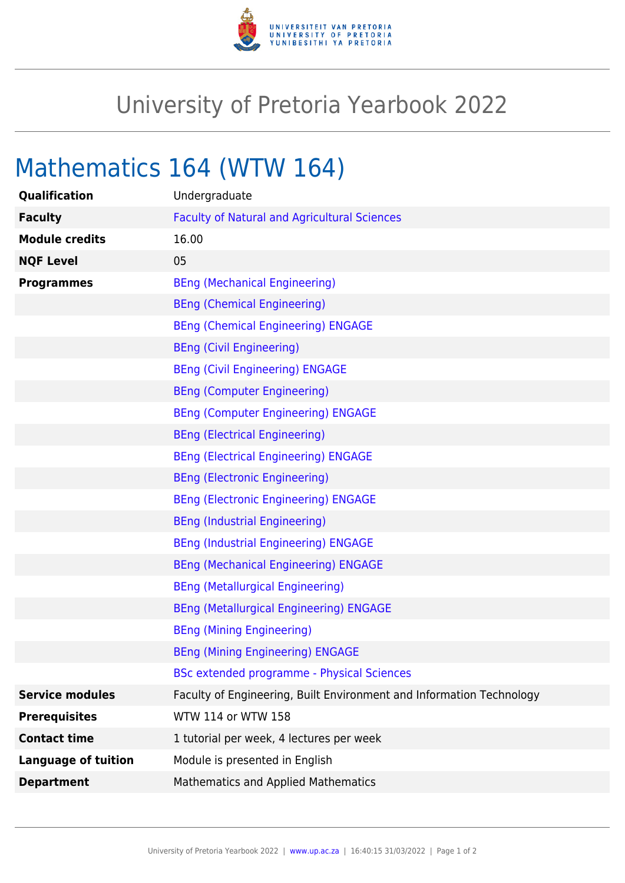

## University of Pretoria Yearbook 2022

## Mathematics 164 (WTW 164)

| Qualification              | Undergraduate                                                        |
|----------------------------|----------------------------------------------------------------------|
| <b>Faculty</b>             | <b>Faculty of Natural and Agricultural Sciences</b>                  |
| <b>Module credits</b>      | 16.00                                                                |
| <b>NQF Level</b>           | 05                                                                   |
| <b>Programmes</b>          | <b>BEng (Mechanical Engineering)</b>                                 |
|                            | <b>BEng (Chemical Engineering)</b>                                   |
|                            | <b>BEng (Chemical Engineering) ENGAGE</b>                            |
|                            | <b>BEng (Civil Engineering)</b>                                      |
|                            | <b>BEng (Civil Engineering) ENGAGE</b>                               |
|                            | <b>BEng (Computer Engineering)</b>                                   |
|                            | <b>BEng (Computer Engineering) ENGAGE</b>                            |
|                            | <b>BEng (Electrical Engineering)</b>                                 |
|                            | <b>BEng (Electrical Engineering) ENGAGE</b>                          |
|                            | <b>BEng (Electronic Engineering)</b>                                 |
|                            | <b>BEng (Electronic Engineering) ENGAGE</b>                          |
|                            | <b>BEng (Industrial Engineering)</b>                                 |
|                            | <b>BEng (Industrial Engineering) ENGAGE</b>                          |
|                            | <b>BEng (Mechanical Engineering) ENGAGE</b>                          |
|                            | <b>BEng (Metallurgical Engineering)</b>                              |
|                            | <b>BEng (Metallurgical Engineering) ENGAGE</b>                       |
|                            | <b>BEng (Mining Engineering)</b>                                     |
|                            | <b>BEng (Mining Engineering) ENGAGE</b>                              |
|                            | <b>BSc extended programme - Physical Sciences</b>                    |
| <b>Service modules</b>     | Faculty of Engineering, Built Environment and Information Technology |
| <b>Prerequisites</b>       | WTW 114 or WTW 158                                                   |
| <b>Contact time</b>        | 1 tutorial per week, 4 lectures per week                             |
| <b>Language of tuition</b> | Module is presented in English                                       |
| <b>Department</b>          | Mathematics and Applied Mathematics                                  |
|                            |                                                                      |